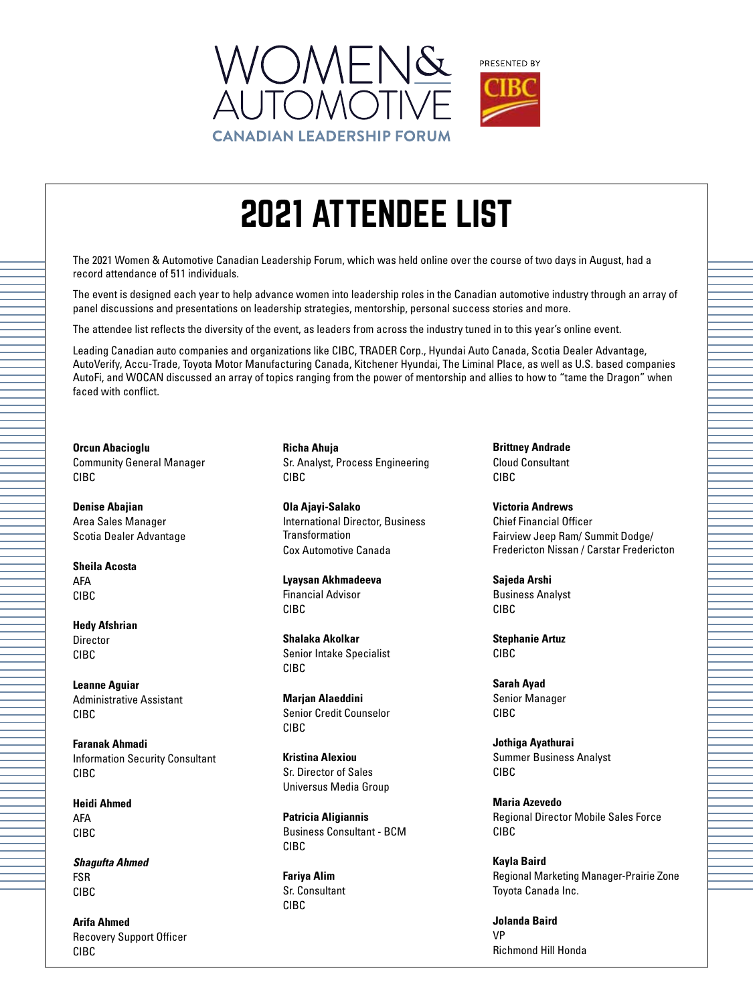

The 2021 Women & Automotive Canadian Leadership Forum, which was held online over the course of two days in August, had a record attendance of 511 individuals.

The event is designed each year to help advance women into leadership roles in the Canadian automotive industry through an array of panel discussions and presentations on leadership strategies, mentorship, personal success stories and more.

The attendee list reflects the diversity of the event, as leaders from across the industry tuned in to this year's online event.

Leading Canadian auto companies and organizations like CIBC, TRADER Corp., Hyundai Auto Canada, Scotia Dealer Advantage, AutoVerify, Accu-Trade, Toyota Motor Manufacturing Canada, Kitchener Hyundai, The Liminal Place, as well as U.S. based companies AutoFi, and WOCAN discussed an array of topics ranging from the power of mentorship and allies to how to "tame the Dragon" when faced with conflict.

**Orcun Abacioglu** Community General Manager CIBC

**Denise Abajian** Area Sales Manager Scotia Dealer Advantage

**Sheila Acosta** AFA CIBC

**Hedy Afshrian** Director CIBC

**Leanne Aguiar** Administrative Assistant CIBC

**Faranak Ahmadi** Information Security Consultant CIBC

**Heidi Ahmed** AFA CIBC

*Shagufta Ahmed* FSR CIBC

**Arifa Ahmed** Recovery Support Officer CIBC

**Richa Ahuja** Sr. Analyst, Process Engineering CIBC

**Ola Ajayi-Salako** International Director, Business Transformation Cox Automotive Canada

**Lyaysan Akhmadeeva** Financial Advisor CIBC

**Shalaka Akolkar** Senior Intake Specialist CIBC

**Marjan Alaeddini** Senior Credit Counselor CIBC

**Kristina Alexiou** Sr. Director of Sales Universus Media Group

**Patricia Aligiannis** Business Consultant - BCM CIBC

**Fariya Alim** Sr. Consultant CIBC

**Brittney Andrade** Cloud Consultant CIBC

**Victoria Andrews** Chief Financial Officer Fairview Jeep Ram/ Summit Dodge/ Fredericton Nissan / Carstar Fredericton

**Sajeda Arshi** Business Analyst CIBC

**Stephanie Artuz** CIBC

**Sarah Ayad** Senior Manager CIBC

**Jothiga Ayathurai** Summer Business Analyst CIBC

**Maria Azevedo** Regional Director Mobile Sales Force CIBC

**Kayla Baird** Regional Marketing Manager-Prairie Zone Toyota Canada Inc.

**Jolanda Baird** VP Richmond Hill Honda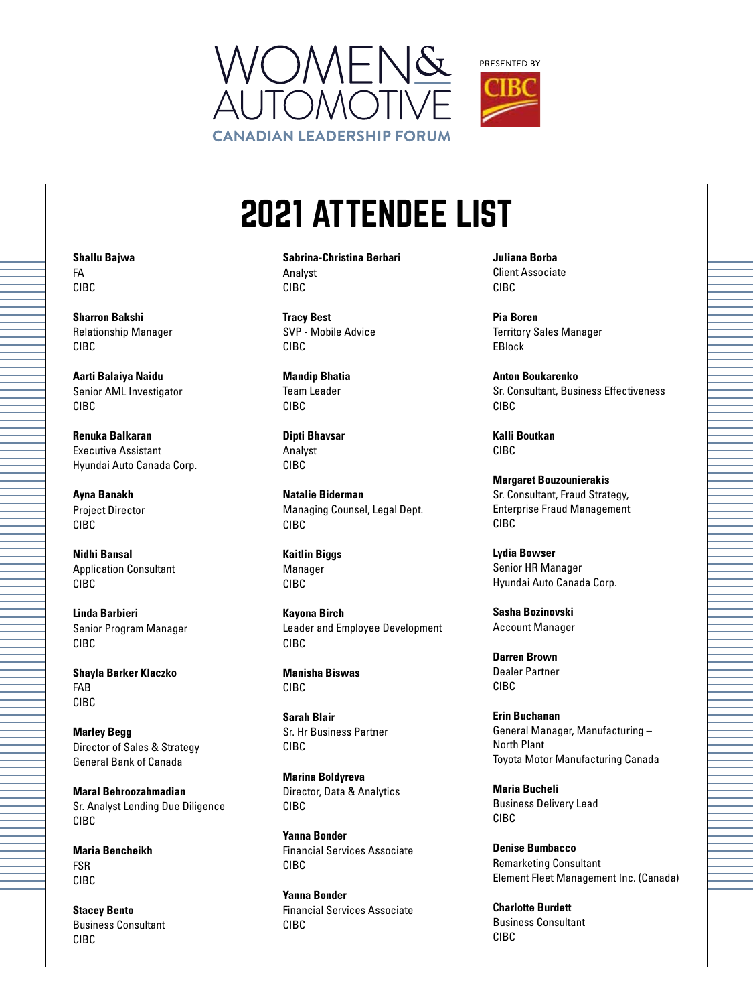



**Sabrina-Christina Berbari** Analyst CIBC

**Tracy Best** SVP - Mobile Advice CIBC

**Mandip Bhatia** Team Leader CIBC

**Dipti Bhavsar** Analyst CIBC

**Natalie Biderman** Managing Counsel, Legal Dept. CIBC

**Kaitlin Biggs** Manager CIBC

**Kayona Birch** Leader and Employee Development CIBC

**Manisha Biswas** CIBC

**Sarah Blair** Sr. Hr Business Partner CIBC

**Marina Boldyreva** Director, Data & Analytics CIBC

**Yanna Bonder** Financial Services Associate CIBC

**Yanna Bonder** Financial Services Associate CIBC

**Juliana Borba** Client Associate CIBC

**Pia Boren** Territory Sales Manager EBlock

**Anton Boukarenko** Sr. Consultant, Business Effectiveness CIBC

**Kalli Boutkan** CIBC

**Margaret Bouzounierakis** Sr. Consultant, Fraud Strategy, Enterprise Fraud Management CIBC

**Lydia Bowser** Senior HR Manager Hyundai Auto Canada Corp.

**Sasha Bozinovski** Account Manager

**Darren Brown** Dealer Partner CIBC

**Erin Buchanan** General Manager, Manufacturing – North Plant Toyota Motor Manufacturing Canada

**Maria Bucheli** Business Delivery Lead CIBC

**Denise Bumbacco** Remarketing Consultant Element Fleet Management Inc. (Canada)

**Charlotte Burdett** Business Consultant CIBC

**Shallu Bajwa** FA CIBC

**Sharron Bakshi** Relationship Manager CIBC

**Aarti Balaiya Naidu** Senior AML Investigator CIBC

**Renuka Balkaran** Executive Assistant Hyundai Auto Canada Corp.

**Ayna Banakh** Project Director CIBC

**Nidhi Bansal** Application Consultant CIBC

**Linda Barbieri** Senior Program Manager CIBC

**Shayla Barker Klaczko** FAB CIBC

**Marley Begg** Director of Sales & Strategy General Bank of Canada

**Maral Behroozahmadian** Sr. Analyst Lending Due Diligence CIBC

**Maria Bencheikh** FSR CIBC

**Stacey Bento** Business Consultant CIBC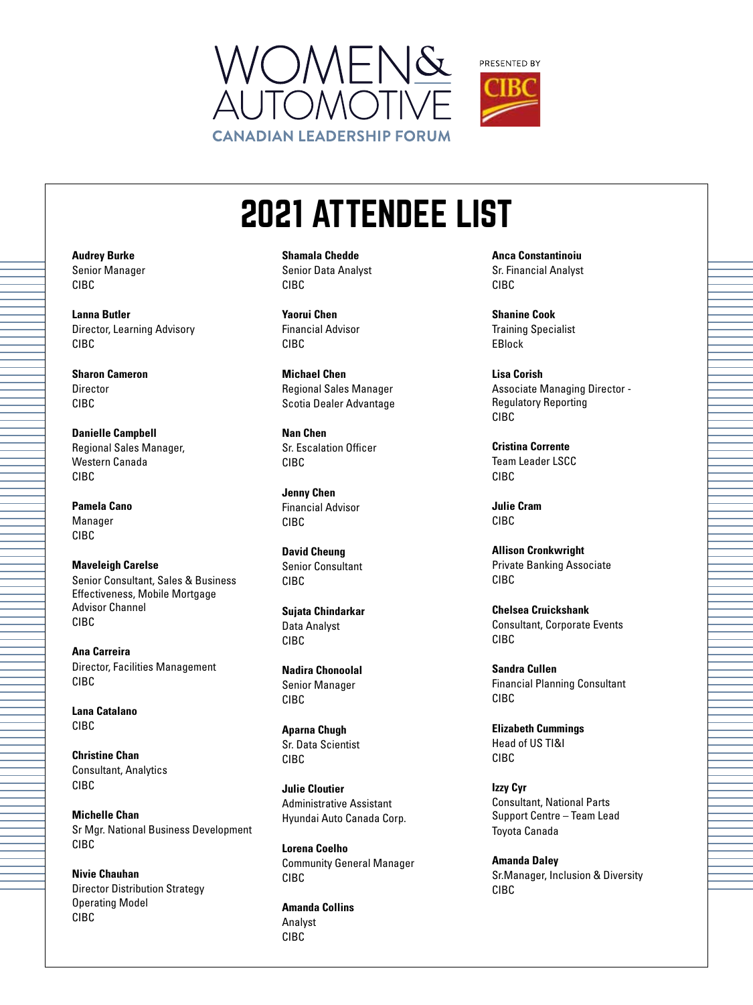



**Shamala Chedde** Senior Data Analyst CIBC

**Yaorui Chen** Financial Advisor CIBC

**Michael Chen** Regional Sales Manager Scotia Dealer Advantage

**Nan Chen** Sr. Escalation Officer CIBC

**Jenny Chen** Financial Advisor CIBC

**David Cheung** Senior Consultant CIBC

**Sujata Chindarkar** Data Analyst CIBC

**Nadira Chonoolal** Senior Manager CIBC

**Aparna Chugh** Sr. Data Scientist CIBC

**Julie Cloutier** Administrative Assistant Hyundai Auto Canada Corp.

**Lorena Coelho** Community General Manager CIBC

**Amanda Collins** Analyst CIBC

**Anca Constantinoiu** Sr. Financial Analyst CIBC

**Shanine Cook** Training Specialist EBlock

**Lisa Corish** Associate Managing Director - Regulatory Reporting CIBC

**Cristina Corrente** Team Leader LSCC CIBC

**Julie Cram** CIBC

**Allison Cronkwright** Private Banking Associate CIBC

**Chelsea Cruickshank** Consultant, Corporate Events CIBC

**Sandra Cullen** Financial Planning Consultant CIBC

**Elizabeth Cummings** Head of US TI&I CIBC

**Izzy Cyr** Consultant, National Parts Support Centre – Team Lead Toyota Canada

**Amanda Daley** Sr.Manager, Inclusion & Diversity CIBC

**Audrey Burke** Senior Manager CIBC

**Lanna Butler** Director, Learning Advisory CIBC

**Sharon Cameron** Director CIBC

**Danielle Campbell** Regional Sales Manager, Western Canada CIBC

**Pamela Cano** Manager CIBC

**Maveleigh Carelse** Senior Consultant, Sales & Business Effectiveness, Mobile Mortgage Advisor Channel CIBC

**Ana Carreira** Director, Facilities Management CIBC

**Lana Catalano** CIBC

**Christine Chan** Consultant, Analytics CIBC

**Michelle Chan** Sr Mgr. National Business Development CIBC

**Nivie Chauhan** Director Distribution Strategy Operating Model CIBC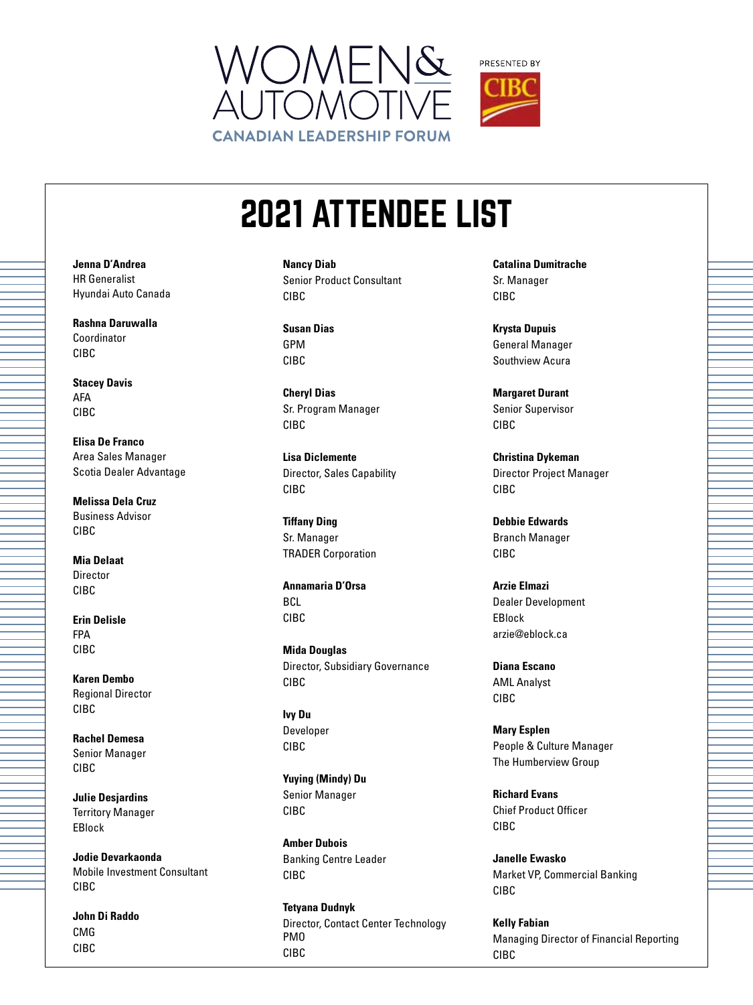



**Nancy Diab** Senior Product Consultant CIBC

**Susan Dias** GPM CIBC

**Cheryl Dias** Sr. Program Manager CIBC

**Lisa Diclemente** Director, Sales Capability CIBC

**Tiffany Ding** Sr. Manager TRADER Corporation

**Annamaria D'Orsa BCL** CIBC

**Mida Douglas** Director, Subsidiary Governance CIBC

**Ivy Du** Developer CIBC

**Yuying (Mindy) Du** Senior Manager CIBC

**Amber Dubois** Banking Centre Leader CIBC

**Tetyana Dudnyk** Director, Contact Center Technology PMO CIBC

**Catalina Dumitrache** Sr. Manager CIBC

**Krysta Dupuis** General Manager Southview Acura

**Margaret Durant** Senior Supervisor CIBC

**Christina Dykeman** Director Project Manager CIBC

**Debbie Edwards** Branch Manager CIBC

**Arzie Elmazi** Dealer Development EBlock arzie@eblock.ca

**Diana Escano** AML Analyst CIBC

**Mary Esplen** People & Culture Manager The Humberview Group

**Richard Evans** Chief Product Officer CIBC

**Janelle Ewasko** Market VP, Commercial Banking CIBC

**Kelly Fabian** Managing Director of Financial Reporting CIBC

**Jenna D'Andrea** HR Generalist Hyundai Auto Canada

**Rashna Daruwalla** Coordinator CIBC

**Stacey Davis** AFA CIBC

**Elisa De Franco** Area Sales Manager Scotia Dealer Advantage

**Melissa Dela Cruz** Business Advisor CIBC

**Mia Delaat** Director CIBC

**Erin Delisle** FPA CIBC

**Karen Dembo** Regional Director CIBC

**Rachel Demesa** Senior Manager CIBC

**Julie Desjardins** Territory Manager EBlock

**Jodie Devarkaonda** Mobile Investment Consultant CIBC

**John Di Raddo** CMG CIBC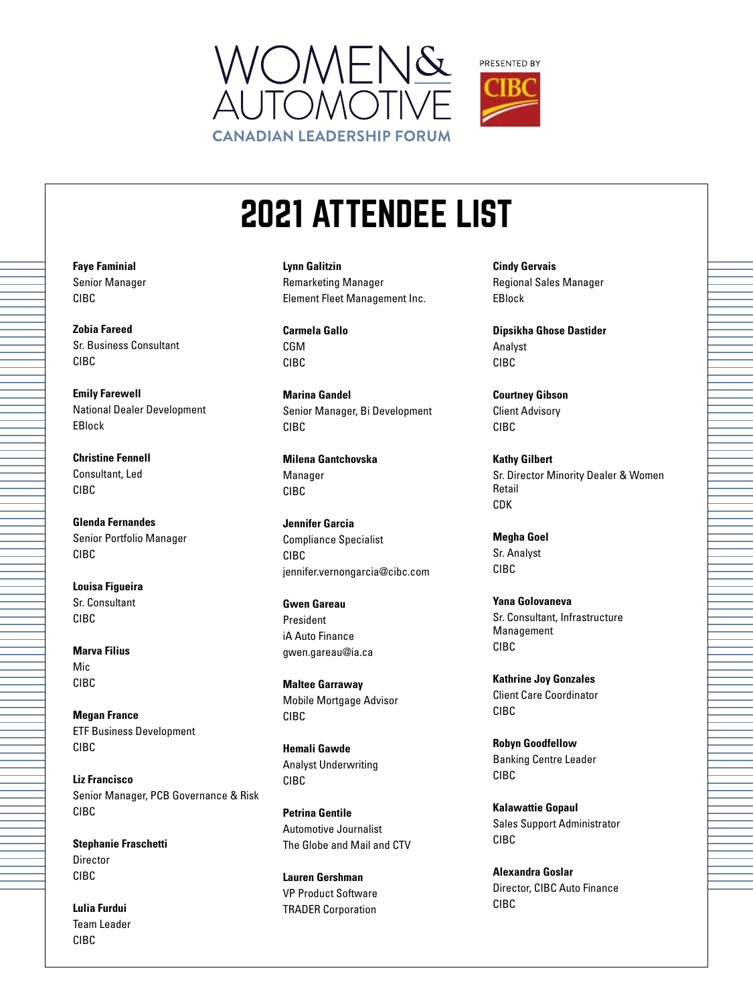



**Lynn Galitzin** Remarketing Manager Element Fleet Management Inc.

**Carmela Gallo** CGM CIBC

**Marina Gandel** Senior Manager, Bi Development CIBC

**Milena Gantchovska** Manager CIBC

**Jennifer Garcia** Compliance Specialist CIBC jennifer.vernongarcia@cibc.com

**Gwen Gareau** President iA Auto Finance gwen.gareau@ia.ca

**Maltee Garraway** Mobile Mortgage Advisor CIBC

**Hemali Gawde** Analyst Underwriting CIBC

**Petrina Gentile** Automotive Journalist The Globe and Mail and CTV

**Lauren Gershman** VP Product Software TRADER Corporation

**Cindy Gervais** Regional Sales Manager EBlock

**Dipsikha Ghose Dastider** Analyst CIBC

**Courtney Gibson** Client Advisory CIBC

**Kathy Gilbert** Sr. Director Minority Dealer & Women Retail CDK

**Megha Goel** Sr. Analyst CIBC

**Yana Golovaneva** Sr. Consultant, Infrastructure Management CIBC

**Kathrine Joy Gonzales** Client Care Coordinator CIBC

**Robyn Goodfellow** Banking Centre Leader CIBC

**Kalawattie Gopaul** Sales Support Administrator CIBC

**Alexandra Goslar** Director, CIBC Auto Finance CIBC

**Faye Faminial** Senior Manager CIBC

**Zobia Fareed** Sr. Business Consultant CIBC

**Emily Farewell** National Dealer Development EBlock

**Christine Fennell** Consultant, Led CIBC

**Glenda Fernandes** Senior Portfolio Manager CIBC

**Louisa Figueira** Sr. Consultant CIBC

**Marva Filius** Mic CIBC

**Megan France** ETF Business Development CIBC

**Liz Francisco** Senior Manager, PCB Governance & Risk CIBC

**Stephanie Fraschetti** Director CIBC

**Lulia Furdui** Team Leader CIBC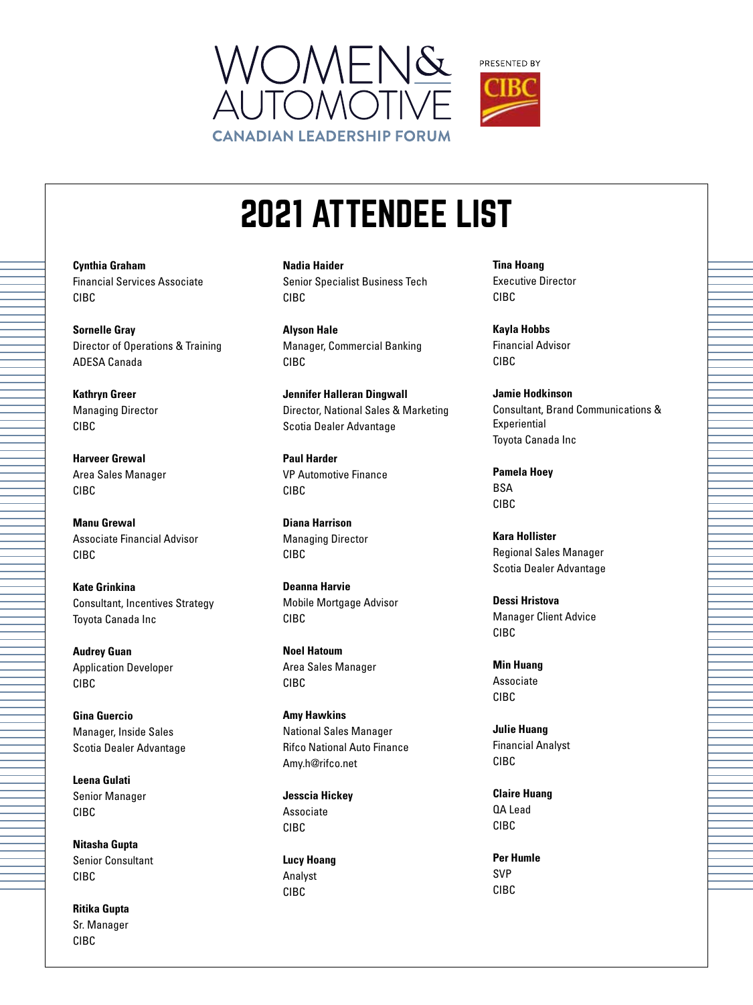



**Cynthia Graham** Financial Services Associate CIBC

**Sornelle Gray** Director of Operations & Training ADESA Canada

**Kathryn Greer** Managing Director CIBC

**Harveer Grewal** Area Sales Manager CIBC

**Manu Grewal** Associate Financial Advisor CIBC

**Kate Grinkina** Consultant, Incentives Strategy Toyota Canada Inc

**Audrey Guan** Application Developer CIBC

**Gina Guercio** Manager, Inside Sales Scotia Dealer Advantage

**Leena Gulati** Senior Manager CIBC

**Nitasha Gupta** Senior Consultant CIBC

**Ritika Gupta** Sr. Manager CIBC

**Nadia Haider** Senior Specialist Business Tech CIBC

**Alyson Hale** Manager, Commercial Banking CIBC

**Jennifer Halleran Dingwall** Director, National Sales & Marketing Scotia Dealer Advantage

**Paul Harder** VP Automotive Finance CIBC

**Diana Harrison** Managing Director CIBC

**Deanna Harvie** Mobile Mortgage Advisor CIBC

**Noel Hatoum** Area Sales Manager CIBC

**Amy Hawkins** National Sales Manager Rifco National Auto Finance Amy.h@rifco.net

**Jesscia Hickey** Associate CIBC

**Lucy Hoang** Analyst CIBC

**Tina Hoang** Executive Director CIBC

**Kayla Hobbs** Financial Advisor CIBC

**Jamie Hodkinson** Consultant, Brand Communications & Experiential Toyota Canada Inc

**Pamela Hoey BSA** CIBC

**Kara Hollister** Regional Sales Manager Scotia Dealer Advantage

**Dessi Hristova** Manager Client Advice CIBC

**Min Huang** Associate CIBC

**Julie Huang** Financial Analyst CIBC

**Claire Huang** QA Lead CIBC

**Per Humle** SVP CIBC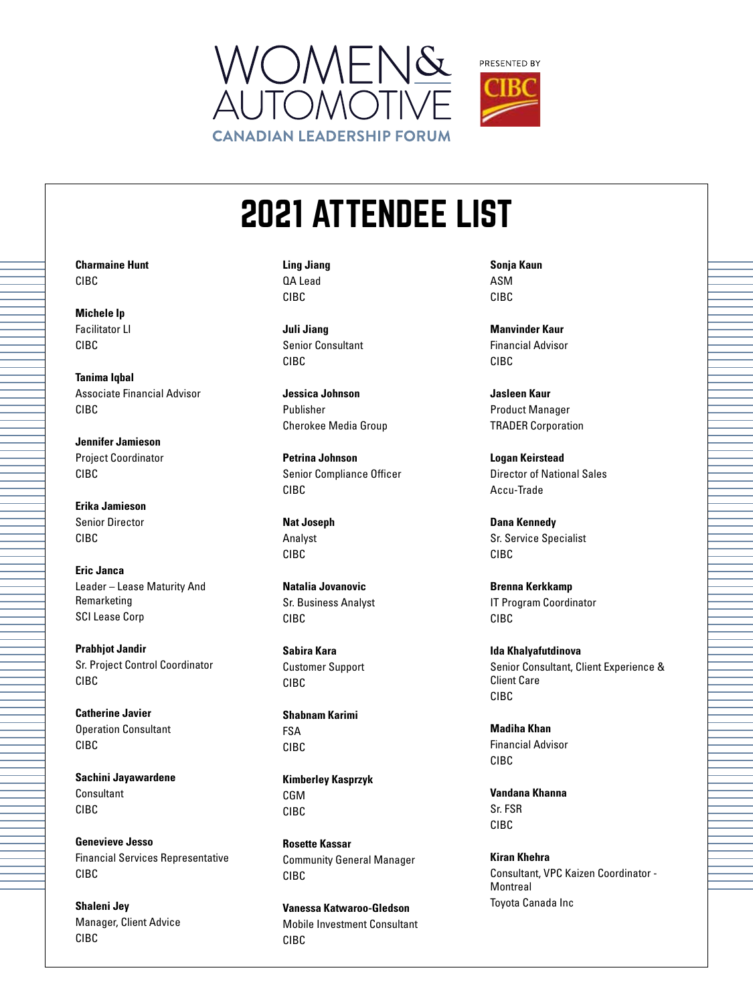



**Charmaine Hunt** CIBC

**Michele Ip** Facilitator LI CIBC

**Tanima Iqbal** Associate Financial Advisor CIBC

**Jennifer Jamieson** Project Coordinator CIBC

**Erika Jamieson** Senior Director CIBC

**Eric Janca** Leader – Lease Maturity And Remarketing SCI Lease Corp

**Prabhjot Jandir** Sr. Project Control Coordinator CIBC

**Catherine Javier** Operation Consultant CIBC

**Sachini Jayawardene** Consultant CIBC

**Genevieve Jesso** Financial Services Representative CIBC

**Shaleni Jey** Manager, Client Advice CIBC

**Ling Jiang** QA Lead CIBC

**Juli Jiang** Senior Consultant CIBC

**Jessica Johnson** Publisher Cherokee Media Group

**Petrina Johnson** Senior Compliance Officer CIBC

**Nat Joseph** Analyst CIBC

**Natalia Jovanovic** Sr. Business Analyst CIBC

**Sabira Kara** Customer Support CIBC

**Shabnam Karimi** FSA CIBC

**Kimberley Kasprzyk** CGM CIBC

**Rosette Kassar** Community General Manager CIBC

**Vanessa Katwaroo-Gledson** Mobile Investment Consultant CIBC

**Sonja Kaun** ASM CIBC

**Manvinder Kaur** Financial Advisor CIBC

**Jasleen Kaur** Product Manager TRADER Corporation

**Logan Keirstead** Director of National Sales Accu-Trade

**Dana Kennedy** Sr. Service Specialist CIBC

**Brenna Kerkkamp** IT Program Coordinator CIBC

**Ida Khalyafutdinova** Senior Consultant, Client Experience & Client Care CIBC

**Madiha Khan** Financial Advisor CIBC

**Vandana Khanna** Sr. FSR CIBC

**Kiran Khehra** Consultant, VPC Kaizen Coordinator - **Montreal** Toyota Canada Inc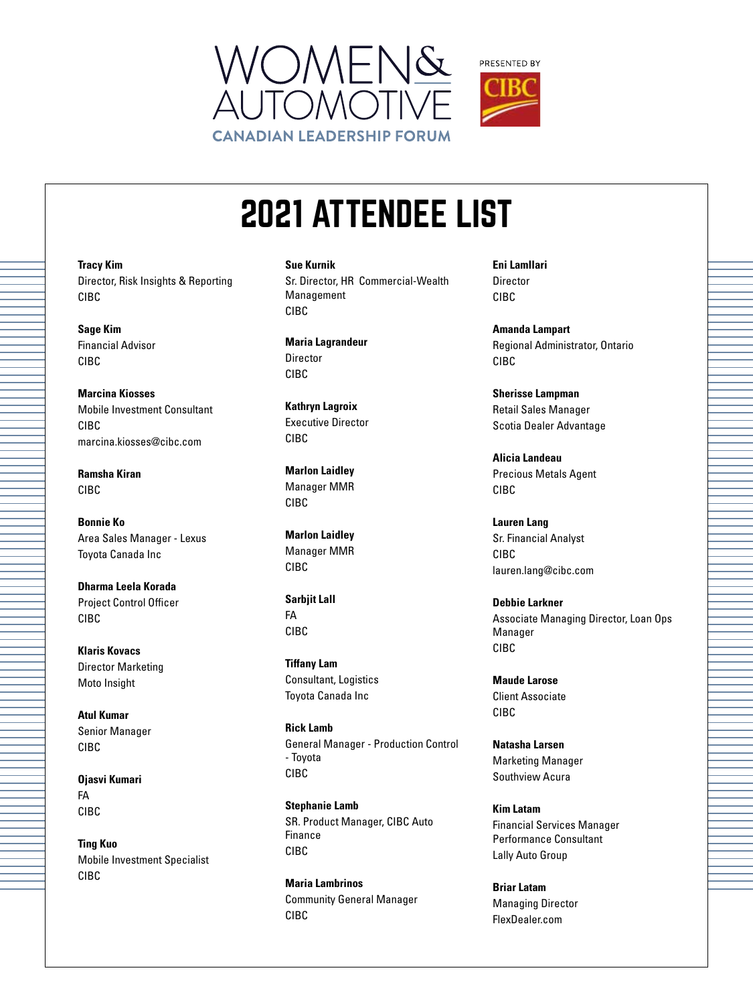



**Tracy Kim** Director, Risk Insights & Reporting CIBC

**Sage Kim** Financial Advisor CIBC

**Marcina Kiosses** Mobile Investment Consultant CIBC marcina.kiosses@cibc.com

**Ramsha Kiran** CIBC

**Bonnie Ko** Area Sales Manager - Lexus Toyota Canada Inc

**Dharma Leela Korada** Project Control Officer CIBC

**Klaris Kovacs** Director Marketing Moto Insight

**Atul Kumar** Senior Manager CIBC

**Ojasvi Kumari** FA CIBC

**Ting Kuo** Mobile Investment Specialist CIBC

**Sue Kurnik** Sr. Director, HR Commercial-Wealth Management CIBC

**Maria Lagrandeur** Director CIBC

**Kathryn Lagroix** Executive Director CIBC

**Marlon Laidley** Manager MMR CIBC

**Marlon Laidley** Manager MMR CIBC

**Sarbjit Lall** FA CIBC

**Tiffany Lam** Consultant, Logistics Toyota Canada Inc

**Rick Lamb** General Manager - Production Control - Toyota CIBC

**Stephanie Lamb** SR. Product Manager, CIBC Auto Finance CIBC

**Maria Lambrinos** Community General Manager CIBC

**Eni Lamllari** Director CIBC

**Amanda Lampart** Regional Administrator, Ontario CIBC

**Sherisse Lampman** Retail Sales Manager Scotia Dealer Advantage

**Alicia Landeau** Precious Metals Agent CIBC

**Lauren Lang** Sr. Financial Analyst CIBC lauren.lang@cibc.com

**Debbie Larkner** Associate Managing Director, Loan Ops Manager CIBC

**Maude Larose** Client Associate CIBC

**Natasha Larsen** Marketing Manager Southview Acura

**Kim Latam** Financial Services Manager Performance Consultant Lally Auto Group

**Briar Latam** Managing Director FlexDealer.com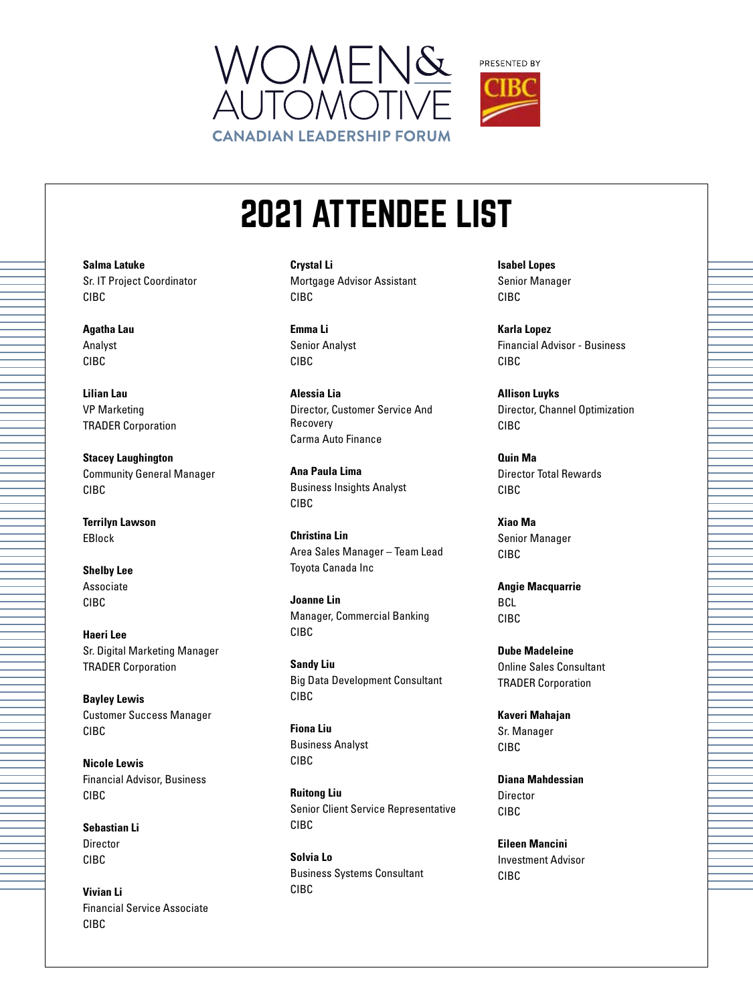



**Salma Latuke** Sr. IT Project Coordinator

**Agatha Lau** Analyst CIBC

CIBC

**Lilian Lau** VP Marketing TRADER Corporation

**Stacey Laughington** Community General Manager CIBC

**Terrilyn Lawson** EBlock

**Shelby Lee** Associate CIBC

**Haeri Lee** Sr. Digital Marketing Manager TRADER Corporation

**Bayley Lewis** Customer Success Manager CIBC

**Nicole Lewis** Financial Advisor, Business CIBC

**Sebastian Li** Director CIBC

**Vivian Li** Financial Service Associate CIBC

**Crystal Li** Mortgage Advisor Assistant CIBC

**Emma Li** Senior Analyst CIBC

**Alessia Lia** Director, Customer Service And Recovery Carma Auto Finance

**Ana Paula Lima** Business Insights Analyst CIBC

**Christina Lin** Area Sales Manager – Team Lead Toyota Canada Inc

**Joanne Lin** Manager, Commercial Banking CIBC

**Sandy Liu** Big Data Development Consultant CIBC

**Fiona Liu** Business Analyst CIBC

**Ruitong Liu** Senior Client Service Representative CIBC

**Solvia Lo** Business Systems Consultant CIBC

**Isabel Lopes** Senior Manager CIBC

**Karla Lopez** Financial Advisor - Business CIBC

**Allison Luyks** Director, Channel Optimization CIBC

**Quin Ma** Director Total Rewards CIBC

**Xiao Ma** Senior Manager CIBC

**Angie Macquarrie** BCL CIBC

**Dube Madeleine** Online Sales Consultant TRADER Corporation

**Kaveri Mahajan** Sr. Manager CIBC

**Diana Mahdessian** Director CIBC

**Eileen Mancini** Investment Advisor CIBC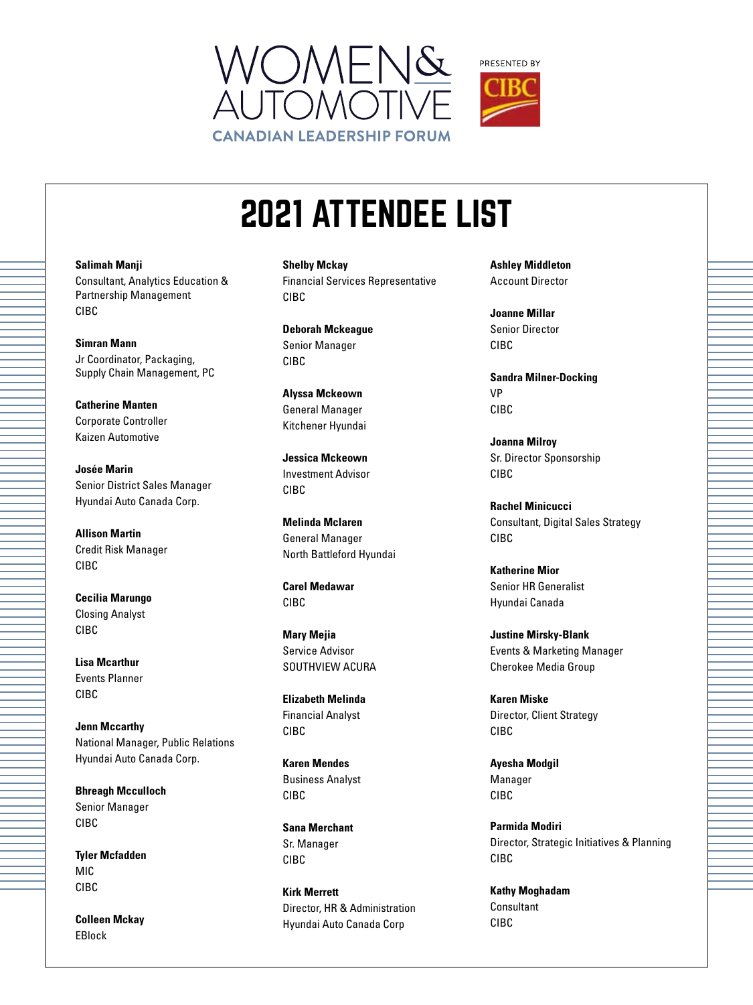



**Salimah Manji** Consultant, Analytics Education & Partnership Management CIBC

**Simran Mann** Jr Coordinator, Packaging, Supply Chain Management, PC

**Catherine Manten** Corporate Controller Kaizen Automotive

**Josée Marin** Senior District Sales Manager Hyundai Auto Canada Corp.

**Allison Martin** Credit Risk Manager CIBC

**Cecilia Marungo** Closing Analyst CIBC

**Lisa Mcarthur** Events Planner CIBC

**Jenn Mccarthy** National Manager, Public Relations Hyundai Auto Canada Corp.

**Bhreagh Mcculloch** Senior Manager CIBC

**Tyler Mcfadden** MIC CIBC

**Colleen Mckay** EBlock

**Shelby Mckay** Financial Services Representative CIBC

**Deborah Mckeague** Senior Manager CIBC

**Alyssa Mckeown** General Manager Kitchener Hyundai

**Jessica Mckeown** Investment Advisor CIBC

**Melinda Mclaren** General Manager North Battleford Hyundai

**Carel Medawar** CIBC

**Mary Mejia** Service Advisor SOUTHVIEW ACURA

**Elizabeth Melinda** Financial Analyst CIBC

**Karen Mendes** Business Analyst CIBC

**Sana Merchant** Sr. Manager CIBC

**Kirk Merrett** Director, HR & Administration Hyundai Auto Canada Corp

**Ashley Middleton** Account Director

**Joanne Millar** Senior Director CIBC

**Sandra Milner-Docking** VP CIBC

**Joanna Milroy** Sr. Director Sponsorship CIBC

**Rachel Minicucci** Consultant, Digital Sales Strategy CIBC

**Katherine Mior** Senior HR Generalist Hyundai Canada

**Justine Mirsky-Blank** Events & Marketing Manager Cherokee Media Group

**Karen Miske** Director, Client Strategy CIBC

**Ayesha Modgil** Manager CIBC

**Parmida Modiri** Director, Strategic Initiatives & Planning CIBC

**Kathy Moghadam** Consultant CIBC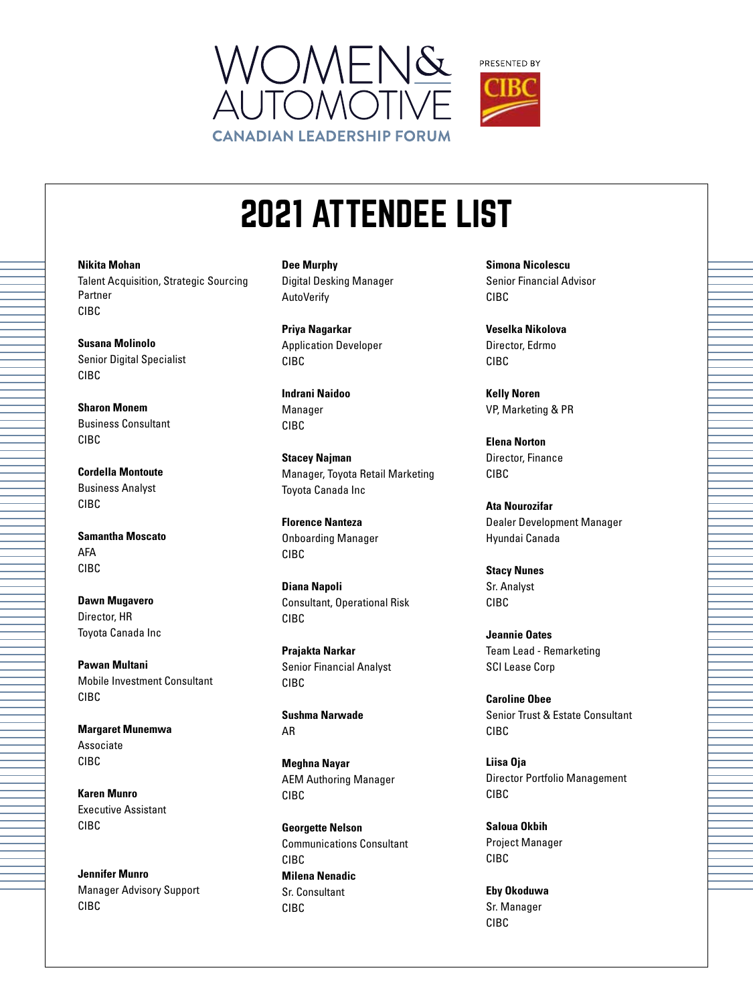



**Nikita Mohan** Talent Acquisition, Strategic Sourcing Partner CIBC

**Susana Molinolo** Senior Digital Specialist CIBC

**Sharon Monem** Business Consultant CIBC

**Cordella Montoute** Business Analyst CIBC

**Samantha Moscato** AFA CIBC

**Dawn Mugavero** Director, HR Toyota Canada Inc

**Pawan Multani** Mobile Investment Consultant CIBC

**Margaret Munemwa** Associate CIBC

**Karen Munro** Executive Assistant CIBC

**Jennifer Munro** Manager Advisory Support CIBC

**Dee Murphy** Digital Desking Manager AutoVerify

**Priya Nagarkar** Application Developer CIBC

**Indrani Naidoo** Manager CIBC

**Stacey Najman** Manager, Toyota Retail Marketing Toyota Canada Inc

**Florence Nanteza** Onboarding Manager CIBC

**Diana Napoli** Consultant, Operational Risk CIBC

**Prajakta Narkar** Senior Financial Analyst CIBC

**Sushma Narwade** AR

**Meghna Nayar** AEM Authoring Manager CIBC

**Georgette Nelson** Communications Consultant CIBC **Milena Nenadic** Sr. Consultant CIBC

**Simona Nicolescu** Senior Financial Advisor CIBC

**Veselka Nikolova** Director, Edrmo CIBC

**Kelly Noren** VP, Marketing & PR

**Elena Norton** Director, Finance CIBC

**Ata Nourozifar** Dealer Development Manager Hyundai Canada

**Stacy Nunes** Sr. Analyst CIBC

**Jeannie Oates** Team Lead - Remarketing SCI Lease Corp

**Caroline Obee** Senior Trust & Estate Consultant CIBC

**Liisa Oja** Director Portfolio Management CIBC

**Saloua Okbih** Project Manager CIBC

**Eby Okoduwa** Sr. Manager CIBC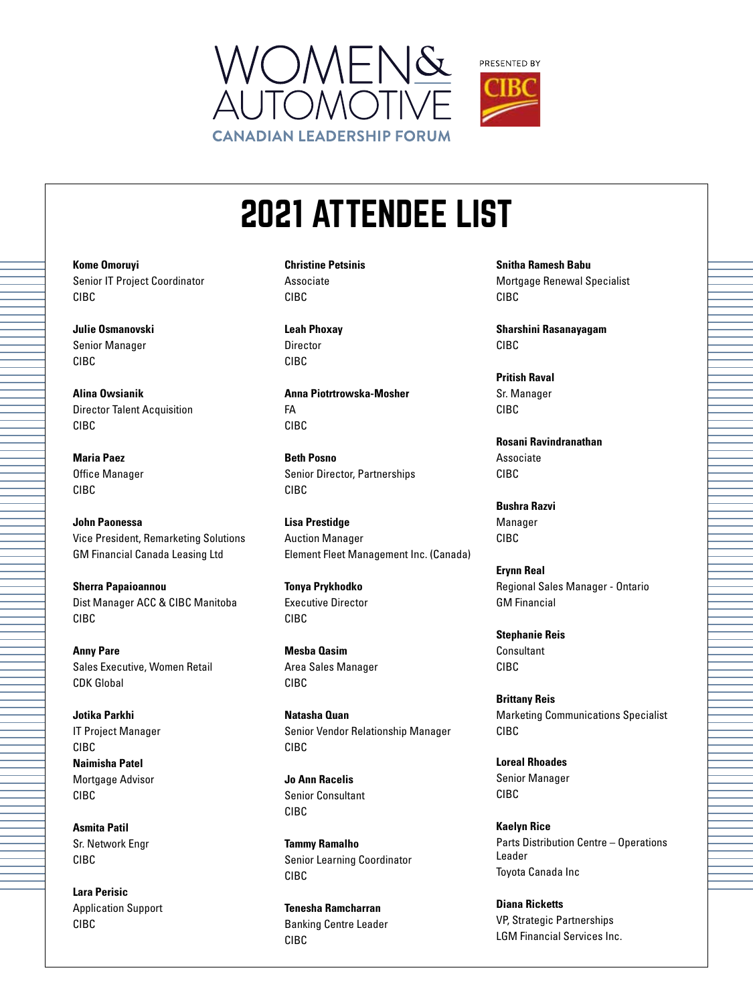



**Kome Omoruyi** Senior IT Project Coordinator CIBC

**Julie Osmanovski** Senior Manager CIBC

**Alina Owsianik** Director Talent Acquisition CIBC

**Maria Paez** Office Manager CIBC

**John Paonessa** Vice President, Remarketing Solutions GM Financial Canada Leasing Ltd

**Sherra Papaioannou** Dist Manager ACC & CIBC Manitoba CIBC

**Anny Pare** Sales Executive, Women Retail CDK Global

**Jotika Parkhi** IT Project Manager CIBC **Naimisha Patel** Mortgage Advisor CIBC

**Asmita Patil** Sr. Network Engr CIBC

**Lara Perisic** Application Support CIBC

**Christine Petsinis** Associate CIBC

**Leah Phoxay** Director CIBC

**Anna Piotrtrowska-Mosher** FA CIBC

**Beth Posno** Senior Director, Partnerships CIBC

**Lisa Prestidge** Auction Manager Element Fleet Management Inc. (Canada)

**Tonya Prykhodko** Executive Director CIBC

**Mesba Qasim** Area Sales Manager CIBC

**Natasha Quan** Senior Vendor Relationship Manager CIBC

**Jo Ann Racelis** Senior Consultant CIBC

**Tammy Ramalho** Senior Learning Coordinator CIBC

**Tenesha Ramcharran** Banking Centre Leader CIBC

**Snitha Ramesh Babu** Mortgage Renewal Specialist CIBC

**Sharshini Rasanayagam** CIBC

**Pritish Raval** Sr. Manager CIBC

**Rosani Ravindranathan** Associate CIBC

**Bushra Razvi** Manager CIBC

**Erynn Real** Regional Sales Manager - Ontario GM Financial

**Stephanie Reis Consultant** CIBC

**Brittany Reis** Marketing Communications Specialist CIBC

**Loreal Rhoades** Senior Manager CIBC

**Kaelyn Rice** Parts Distribution Centre – Operations Leader Toyota Canada Inc

**Diana Ricketts** VP, Strategic Partnerships LGM Financial Services Inc.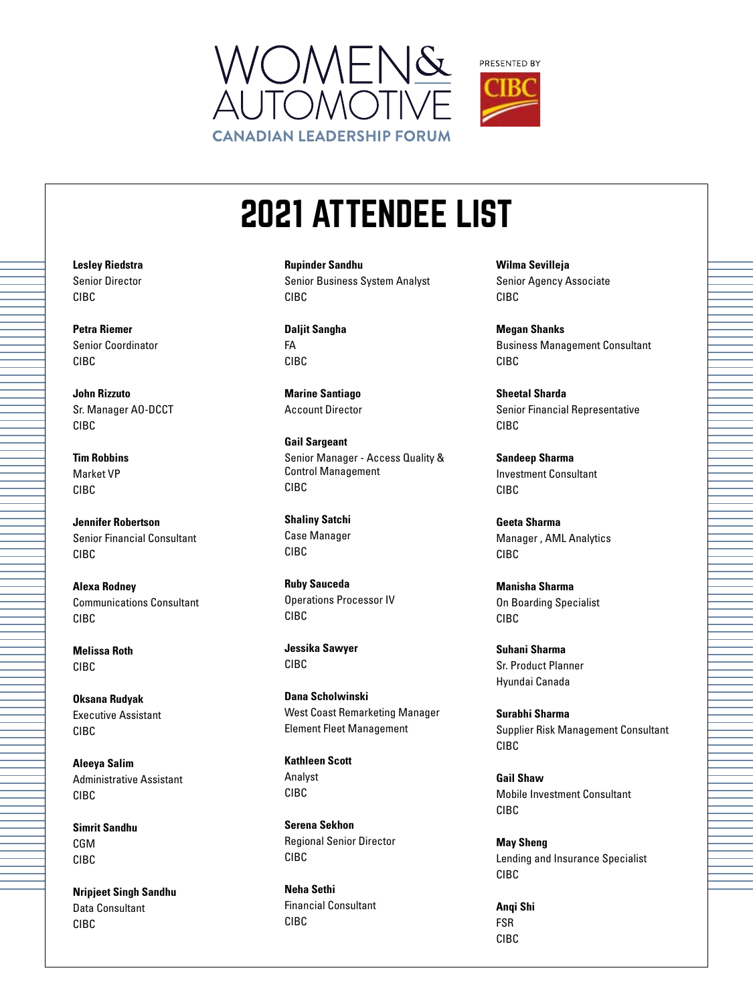



**Rupinder Sandhu** Senior Business System Analyst CIBC

**Daljit Sangha** FA CIBC

**Marine Santiago** Account Director

**Gail Sargeant** Senior Manager - Access Quality & Control Management CIBC

**Shaliny Satchi** Case Manager CIBC

**Ruby Sauceda** Operations Processor IV CIBC

**Jessika Sawyer** CIBC

**Dana Scholwinski** West Coast Remarketing Manager Element Fleet Management

**Kathleen Scott** Analyst CIBC

**Serena Sekhon** Regional Senior Director CIBC

**Neha Sethi** Financial Consultant CIBC

**Wilma Sevilleja** Senior Agency Associate CIBC

**Megan Shanks** Business Management Consultant CIBC

**Sheetal Sharda** Senior Financial Representative CIBC

**Sandeep Sharma** Investment Consultant CIBC

**Geeta Sharma** Manager , AML Analytics CIBC

**Manisha Sharma** On Boarding Specialist CIBC

**Suhani Sharma** Sr. Product Planner Hyundai Canada

**Surabhi Sharma** Supplier Risk Management Consultant CIBC

**Gail Shaw** Mobile Investment Consultant CIBC

**May Sheng** Lending and Insurance Specialist CIBC

**Anqi Shi** FSR CIBC

**Lesley Riedstra** Senior Director CIBC

**Petra Riemer** Senior Coordinator CIBC

**John Rizzuto** Sr. Manager AO-DCCT CIBC

**Tim Robbins** Market VP CIBC

**Jennifer Robertson** Senior Financial Consultant CIBC

**Alexa Rodney** Communications Consultant CIBC

**Melissa Roth** CIBC

**Oksana Rudyak** Executive Assistant CIBC

**Aleeya Salim** Administrative Assistant CIBC

**Simrit Sandhu** CGM CIBC

**Nripjeet Singh Sandhu** Data Consultant CIBC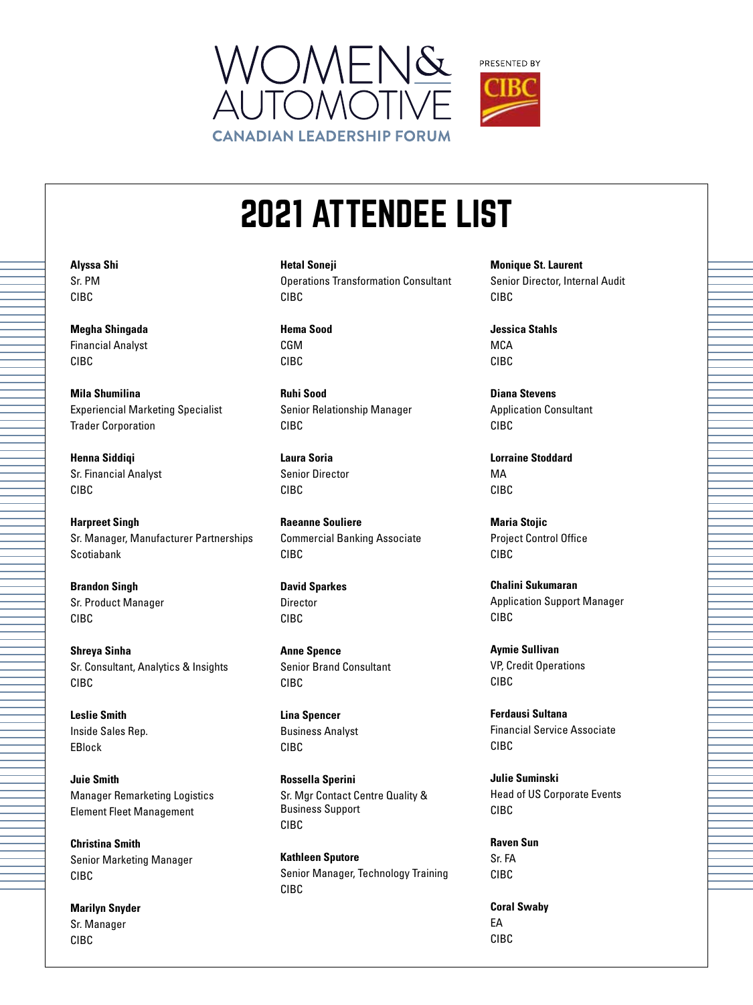



**Hetal Soneji** Operations Transformation Consultant CIBC

**Hema Sood** CGM CIBC

**Ruhi Sood** Senior Relationship Manager CIBC

**Laura Soria** Senior Director CIBC

**Raeanne Souliere** Commercial Banking Associate CIBC

**David Sparkes** Director CIBC

**Anne Spence** Senior Brand Consultant CIBC

**Lina Spencer** Business Analyst CIBC

**Rossella Sperini** Sr. Mgr Contact Centre Quality & Business Support CIBC

**Kathleen Sputore** Senior Manager, Technology Training CIBC

**Monique St. Laurent** Senior Director, Internal Audit CIBC

**Jessica Stahls MCA** CIBC

**Diana Stevens** Application Consultant CIBC

**Lorraine Stoddard** MA CIBC

**Maria Stojic** Project Control Office CIBC

**Chalini Sukumaran** Application Support Manager CIBC

**Aymie Sullivan** VP, Credit Operations CIBC

**Ferdausi Sultana** Financial Service Associate CIBC

**Julie Suminski** Head of US Corporate Events CIBC

**Raven Sun** Sr. FA CIBC

**Coral Swaby** EA CIBC

**Alyssa Shi** Sr. PM CIBC

**Megha Shingada** Financial Analyst CIBC

**Mila Shumilina** Experiencial Marketing Specialist Trader Corporation

**Henna Siddiqi** Sr. Financial Analyst CIBC

**Harpreet Singh** Sr. Manager, Manufacturer Partnerships Scotiabank

**Brandon Singh** Sr. Product Manager CIBC

**Shreya Sinha** Sr. Consultant, Analytics & Insights CIBC

**Leslie Smith** Inside Sales Rep. EBlock

**Juie Smith** Manager Remarketing Logistics Element Fleet Management

**Christina Smith** Senior Marketing Manager CIBC

**Marilyn Snyder** Sr. Manager CIBC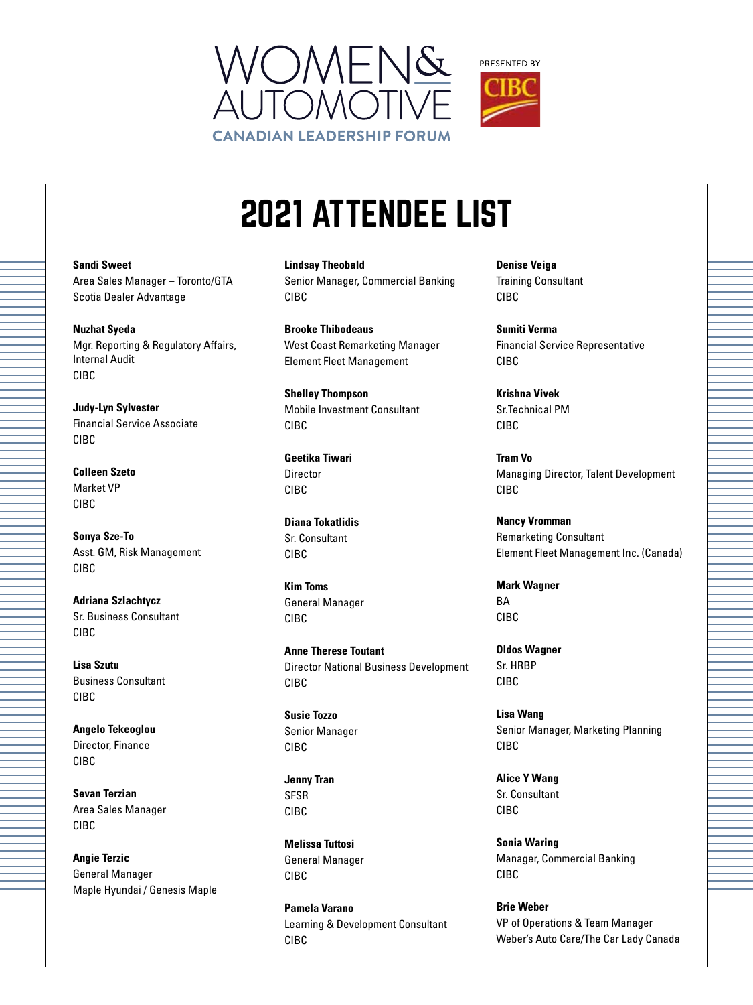



**Sandi Sweet** Area Sales Manager – Toronto/GTA Scotia Dealer Advantage

**Nuzhat Syeda** Mgr. Reporting & Regulatory Affairs, Internal Audit CIBC

**Judy-Lyn Sylvester** Financial Service Associate CIBC

**Colleen Szeto** Market VP CIBC

**Sonya Sze-To** Asst. GM, Risk Management CIBC

**Adriana Szlachtycz** Sr. Business Consultant CIBC

**Lisa Szutu** Business Consultant CIBC

**Angelo Tekeoglou** Director, Finance CIBC

**Sevan Terzian** Area Sales Manager CIBC

**Angie Terzic** General Manager Maple Hyundai / Genesis Maple **Lindsay Theobald** Senior Manager, Commercial Banking CIBC

**Brooke Thibodeaus** West Coast Remarketing Manager Element Fleet Management

**Shelley Thompson** Mobile Investment Consultant CIBC

**Geetika Tiwari** Director CIBC

**Diana Tokatlidis** Sr. Consultant CIBC

**Kim Toms** General Manager CIBC

**Anne Therese Toutant** Director National Business Development CIBC

**Susie Tozzo** Senior Manager CIBC

**Jenny Tran** SFSR CIBC

**Melissa Tuttosi** General Manager CIBC

**Pamela Varano** Learning & Development Consultant CIBC

**Denise Veiga** Training Consultant CIBC

**Sumiti Verma** Financial Service Representative CIBC

**Krishna Vivek** Sr.Technical PM CIBC

**Tram Vo** Managing Director, Talent Development CIBC

**Nancy Vromman** Remarketing Consultant Element Fleet Management Inc. (Canada)

**Mark Wagner** BA CIBC

**Oldos Wagner** Sr. HRBP CIBC

**Lisa Wang** Senior Manager, Marketing Planning CIBC

**Alice Y Wang** Sr. Consultant CIBC

**Sonia Waring** Manager, Commercial Banking CIBC

**Brie Weber** VP of Operations & Team Manager Weber's Auto Care/The Car Lady Canada